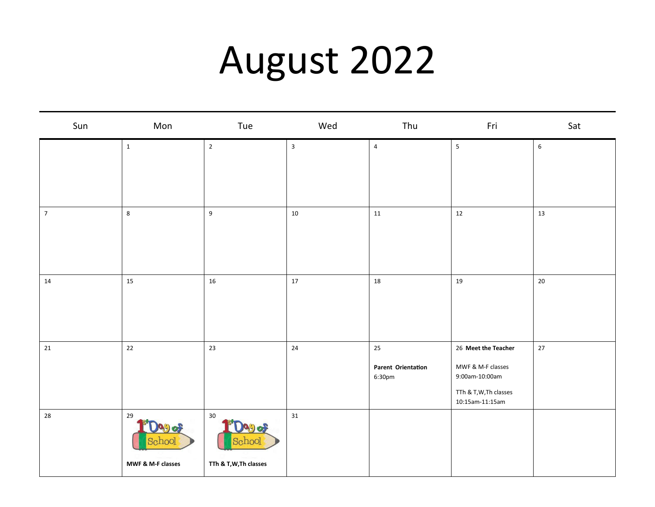## August 2022

| Sun        | Mon               | Tue                    | Wed                     | Thu                          | Fri                                     | Sat         |
|------------|-------------------|------------------------|-------------------------|------------------------------|-----------------------------------------|-------------|
|            | $\mathbf 1$       | $\mathbf 2$            | $\overline{\mathbf{3}}$ | $\pmb{4}$                    | $\sqrt{5}$                              | $\,$ 6 $\,$ |
|            |                   |                        |                         |                              |                                         |             |
|            |                   |                        |                         |                              |                                         |             |
| $\sqrt{7}$ | $\bf 8$           | $\boldsymbol{9}$       | 10                      | $11\,$                       | 12                                      | 13          |
|            |                   |                        |                         |                              |                                         |             |
|            |                   |                        |                         |                              |                                         |             |
| 14         | 15                | $16\,$                 | 17                      | 18                           | 19                                      | $20\,$      |
|            |                   |                        |                         |                              |                                         |             |
|            |                   |                        |                         |                              |                                         |             |
| 21         | 22                | 23                     | 24                      | 25                           | 26 Meet the Teacher                     | $27$        |
|            |                   |                        |                         | Parent Orientation<br>6:30pm | MWF & M-F classes<br>9:00am-10:00am     |             |
|            |                   |                        |                         |                              | TTh & T,W,Th classes<br>10:15am-11:15am |             |
| 28         | 29                | $30\,$<br>990          | 31                      |                              |                                         |             |
|            | cpool             | School                 |                         |                              |                                         |             |
|            | MWF & M-F classes | TTh & T, W, Th classes |                         |                              |                                         |             |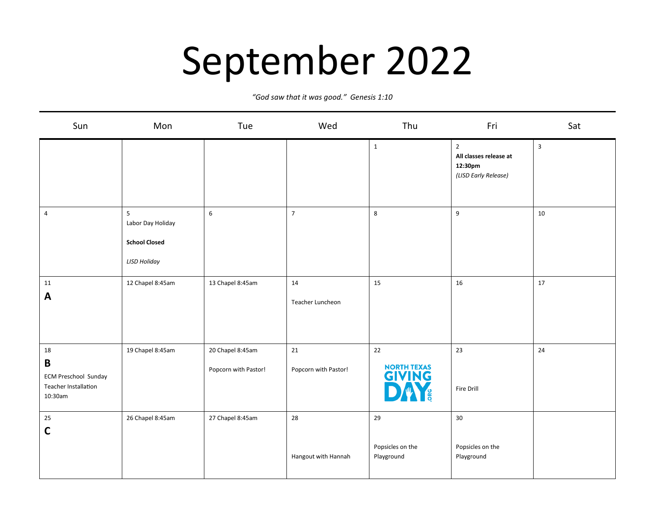## September 2022

*"God saw that it was good." Genesis 1:10*

| Sun                                                                                 | Mon                                                                   | Tue                                      | Wed                        | Thu                                  | Fri                                                                         | Sat          |
|-------------------------------------------------------------------------------------|-----------------------------------------------------------------------|------------------------------------------|----------------------------|--------------------------------------|-----------------------------------------------------------------------------|--------------|
|                                                                                     |                                                                       |                                          |                            | $\mathbf 1$                          | $\overline{2}$<br>All classes release at<br>12:30pm<br>(LISD Early Release) | $\mathbf{3}$ |
| $\overline{a}$                                                                      | 5<br>Labor Day Holiday<br><b>School Closed</b><br><b>LISD Holiday</b> | $\,6\,$                                  | $\overline{7}$             | 8                                    | $\boldsymbol{9}$                                                            | 10           |
| 11<br>A                                                                             | 12 Chapel 8:45am                                                      | 13 Chapel 8:45am                         | 14<br>Teacher Luncheon     | 15                                   | 16                                                                          | 17           |
| 18<br>$\mathbf B$<br><b>ECM Preschool Sunday</b><br>Teacher Installation<br>10:30am | 19 Chapel 8:45am                                                      | 20 Chapel 8:45am<br>Popcorn with Pastor! | 21<br>Popcorn with Pastor! | 22<br>NORTH TEXAS<br><b>GIVING</b>   | 23<br>Fire Drill                                                            | 24           |
| 25<br>$\mathsf{C}$                                                                  | 26 Chapel 8:45am                                                      | 27 Chapel 8:45am                         | 28<br>Hangout with Hannah  | 29<br>Popsicles on the<br>Playground | 30<br>Popsicles on the<br>Playground                                        |              |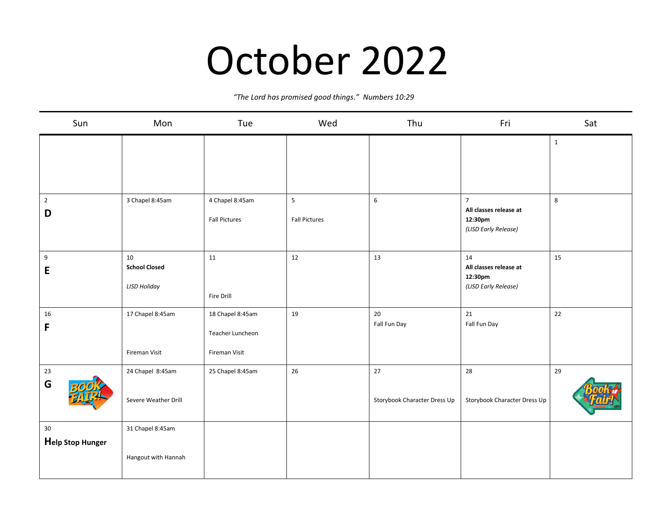#### October 2022

*"The Lord has promised good things." Numbers 10:29*

| Sun                        | Mon                                               | Tue                                                   | Wed                       | Thu                                | Fri                                                                         | Sat          |
|----------------------------|---------------------------------------------------|-------------------------------------------------------|---------------------------|------------------------------------|-----------------------------------------------------------------------------|--------------|
|                            |                                                   |                                                       |                           |                                    |                                                                             | $\mathbf{1}$ |
| $\overline{2}$<br>D        | 3 Chapel 8:45am                                   | 4 Chapel 8:45am<br><b>Fall Pictures</b>               | 5<br><b>Fall Pictures</b> | $\,6\,$                            | $\overline{7}$<br>All classes release at<br>12:30pm<br>(LISD Early Release) | $\,8\,$      |
| $\boldsymbol{9}$<br>E      | 10<br><b>School Closed</b><br><b>LISD Holiday</b> | 11<br>Fire Drill                                      | 12                        | 13                                 | 14<br>All classes release at<br>12:30pm<br>(LISD Early Release)             | 15           |
| 16<br>F                    | 17 Chapel 8:45am<br>Fireman Visit                 | 18 Chapel 8:45am<br>Teacher Luncheon<br>Fireman Visit | 19                        | 20<br>Fall Fun Day                 | $21\,$<br>Fall Fun Day                                                      | 22           |
| 23<br>G                    | 24 Chapel 8:45am<br>Severe Weather Drill          | 25 Chapel 8:45am                                      | 26                        | 27<br>Storybook Character Dress Up | 28<br>Storybook Character Dress Up                                          | 29           |
| $30\,$<br>Help Stop Hunger | 31 Chapel 8:45am<br>Hangout with Hannah           |                                                       |                           |                                    |                                                                             |              |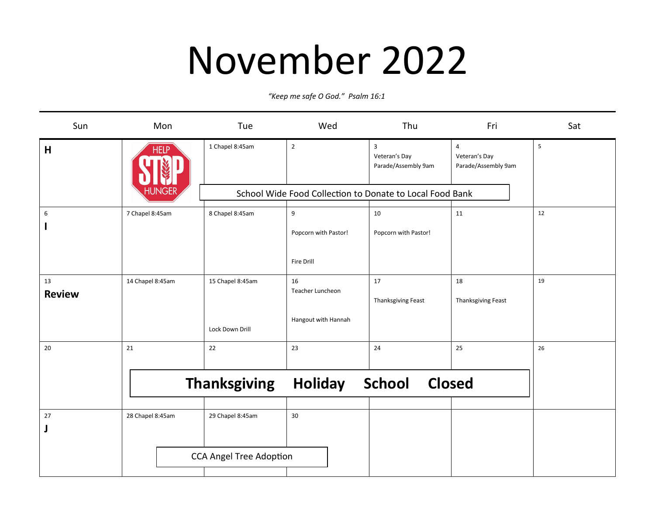### November 2022

*"Keep me safe O God." Psalm 16:1*

| Sun                 | Mon              | Tue                     | Wed                    | Thu                                                      | Fri                                       | Sat |
|---------------------|------------------|-------------------------|------------------------|----------------------------------------------------------|-------------------------------------------|-----|
| H                   | <b>HELP</b>      | 1 Chapel 8:45am         | $\overline{2}$         | $\overline{3}$<br>Veteran's Day<br>Parade/Assembly 9am   | 4<br>Veteran's Day<br>Parade/Assembly 9am | 5   |
|                     | JNGEF            |                         |                        | School Wide Food Collection to Donate to Local Food Bank |                                           |     |
| 6                   | 7 Chapel 8:45am  | 8 Chapel 8:45am         | 9                      | 10                                                       | 11                                        | 12  |
|                     |                  |                         | Popcorn with Pastor!   | Popcorn with Pastor!                                     |                                           |     |
|                     |                  |                         | <b>Fire Drill</b>      |                                                          |                                           |     |
| 13<br><b>Review</b> | 14 Chapel 8:45am | 15 Chapel 8:45am        | 16<br>Teacher Luncheon | 17                                                       | 18                                        | 19  |
|                     |                  | Lock Down Drill         | Hangout with Hannah    | Thanksgiving Feast                                       | Thanksgiving Feast                        |     |
| 20                  | 21               | 22                      | 23                     | 24                                                       | 25                                        | 26  |
|                     |                  | <b>Thanksgiving</b>     | <b>Holiday</b>         | School Closed                                            |                                           |     |
| 27                  | 28 Chapel 8:45am | 29 Chapel 8:45am        | 30                     |                                                          |                                           |     |
|                     |                  | CCA Angel Tree Adoption |                        |                                                          |                                           |     |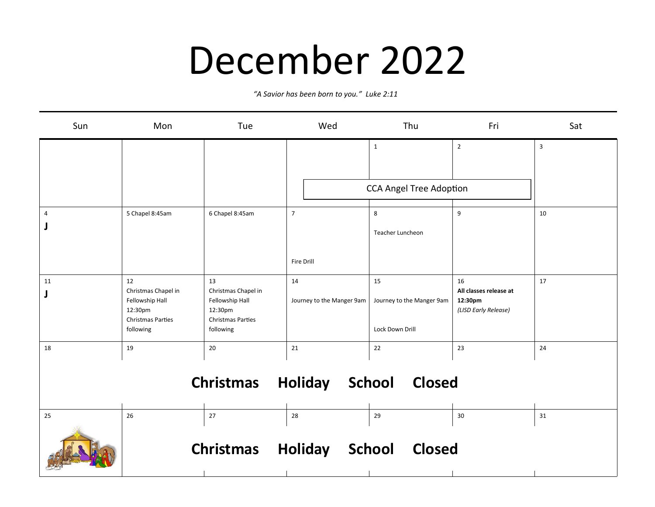#### December 2022

*"A Savior has been born to you." Luke 2:11*

| Sun                                              | Mon                                                                                              | Tue                                                                                              | Wed                             | Thu                                                | Fri                                                             | Sat |  |  |
|--------------------------------------------------|--------------------------------------------------------------------------------------------------|--------------------------------------------------------------------------------------------------|---------------------------------|----------------------------------------------------|-----------------------------------------------------------------|-----|--|--|
|                                                  |                                                                                                  |                                                                                                  |                                 | $\mathbf{1}$                                       | $\overline{2}$                                                  | 3   |  |  |
|                                                  |                                                                                                  |                                                                                                  |                                 | <b>CCA Angel Tree Adoption</b>                     |                                                                 |     |  |  |
| 4                                                | 5 Chapel 8:45am                                                                                  | 6 Chapel 8:45am                                                                                  | $\overline{7}$<br>Fire Drill    | 8<br>Teacher Luncheon                              | 9                                                               | 10  |  |  |
| 11                                               | 12<br>Christmas Chapel in<br>Fellowship Hall<br>12:30pm<br><b>Christmas Parties</b><br>following | 13<br>Christmas Chapel in<br>Fellowship Hall<br>12:30pm<br><b>Christmas Parties</b><br>following | 14<br>Journey to the Manger 9am | 15<br>Journey to the Manger 9am<br>Lock Down Drill | 16<br>All classes release at<br>12:30pm<br>(LISD Early Release) | 17  |  |  |
| 18                                               | 19                                                                                               | 20                                                                                               | 21                              | 22                                                 | 23                                                              | 24  |  |  |
| <b>Christmas Holiday School</b><br><b>Closed</b> |                                                                                                  |                                                                                                  |                                 |                                                    |                                                                 |     |  |  |
| 25                                               | 26                                                                                               | 27<br><b>Christmas Holiday</b>                                                                   | 28                              | 29<br>School<br><b>Closed</b>                      | 30                                                              | 31  |  |  |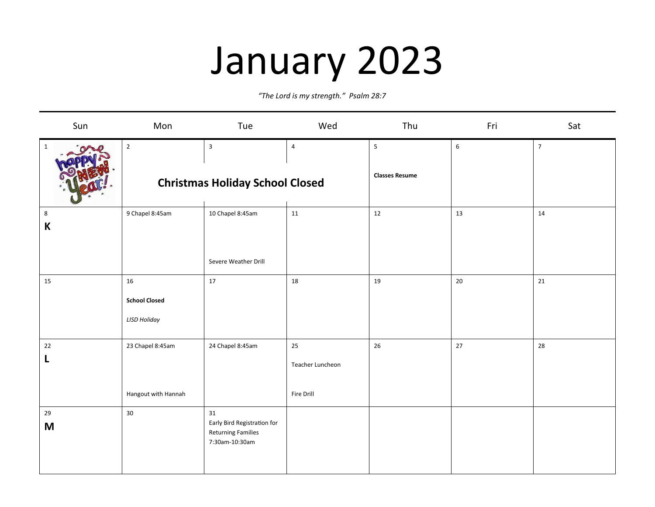# January 2023

*"The Lord is my strength." Psalm 28:7*

| Sun              | Mon                                                   | Tue                                                                              | Wed                                  | Thu                        | Fri              | Sat            |
|------------------|-------------------------------------------------------|----------------------------------------------------------------------------------|--------------------------------------|----------------------------|------------------|----------------|
| $\mathbf{1}$     | $\overline{2}$                                        | $\overline{\mathbf{3}}$<br><b>Christmas Holiday School Closed</b>                | $\overline{4}$                       | 5<br><b>Classes Resume</b> | $\boldsymbol{6}$ | $\overline{7}$ |
| 8<br>$\mathsf K$ | 9 Chapel 8:45am                                       | 10 Chapel 8:45am<br>Severe Weather Drill                                         | 11                                   | 12                         | 13               | $14\,$         |
| 15               | $16\,$<br><b>School Closed</b><br><b>LISD Holiday</b> | 17                                                                               | 18                                   | $19\,$                     | 20               | $21\,$         |
| 22<br>L          | 23 Chapel 8:45am<br>Hangout with Hannah               | 24 Chapel 8:45am                                                                 | 25<br>Teacher Luncheon<br>Fire Drill | $26\,$                     | 27               | 28             |
| 29<br>M          | 30                                                    | 31<br>Early Bird Registration for<br><b>Returning Families</b><br>7:30am-10:30am |                                      |                            |                  |                |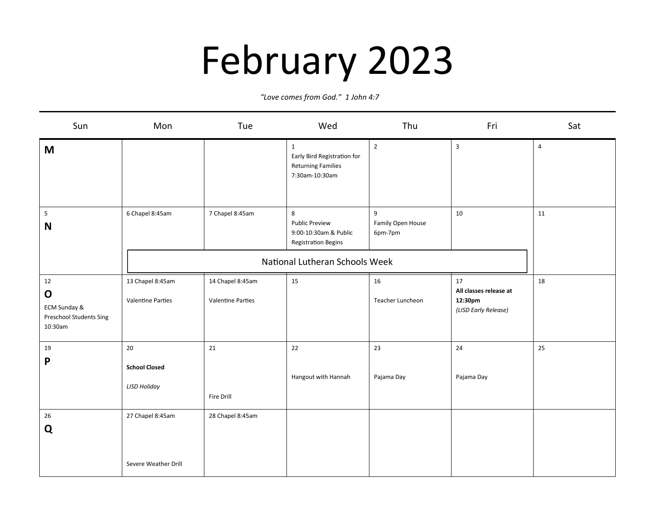## February 2023

*"Love comes from God." 1 John 4:7*

| Sun                                                                     | Mon                                               | Tue                                          | Wed                                                                                                                 | Thu                               | Fri                                                             | Sat            |
|-------------------------------------------------------------------------|---------------------------------------------------|----------------------------------------------|---------------------------------------------------------------------------------------------------------------------|-----------------------------------|-----------------------------------------------------------------|----------------|
| M                                                                       |                                                   |                                              | $\mathbf{1}$<br>Early Bird Registration for<br><b>Returning Families</b><br>7:30am-10:30am                          | $\overline{2}$                    | $\mathbf{3}$                                                    | $\overline{4}$ |
| $5\phantom{.0}$<br>N                                                    | 6 Chapel 8:45am                                   | 7 Chapel 8:45am                              | 8<br><b>Public Preview</b><br>9:00-10:30am & Public<br><b>Registration Begins</b><br>National Lutheran Schools Week | 9<br>Family Open House<br>6pm-7pm | 10                                                              | 11             |
| 12<br>$\mathbf O$<br>ECM Sunday &<br>Preschool Students Sing<br>10:30am | 13 Chapel 8:45am<br><b>Valentine Parties</b>      | 14 Chapel 8:45am<br><b>Valentine Parties</b> | 15                                                                                                                  | 16<br>Teacher Luncheon            | 17<br>All classes release at<br>12:30pm<br>(LISD Early Release) | 18             |
| 19<br>P                                                                 | 20<br><b>School Closed</b><br><b>LISD Holiday</b> | 21<br>Fire Drill                             | 22<br>Hangout with Hannah                                                                                           | 23<br>Pajama Day                  | 24<br>Pajama Day                                                | 25             |
| 26<br>Q                                                                 | 27 Chapel 8:45am<br>Severe Weather Drill          | 28 Chapel 8:45am                             |                                                                                                                     |                                   |                                                                 |                |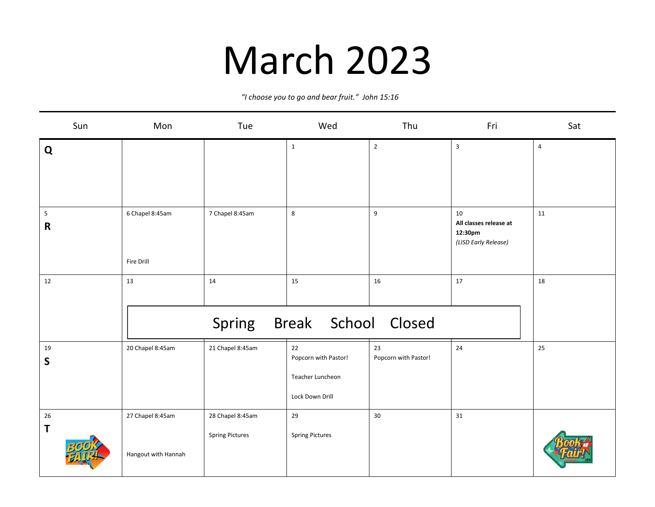### March 2023

*"I choose you to go and bear fruit." John 15:16* 

| Sun                                    | Mon                                     | Tue                                        | Wed                                                               | Thu                        | Fri                                                             | Sat            |
|----------------------------------------|-----------------------------------------|--------------------------------------------|-------------------------------------------------------------------|----------------------------|-----------------------------------------------------------------|----------------|
| $\mathbf Q$                            |                                         |                                            | $\mathbf{1}$                                                      | $\sqrt{2}$                 | $\mathbf{3}$                                                    | $\overline{4}$ |
| $\overline{\mathbf{5}}$<br>$\mathbf R$ | 6 Chapel 8:45am<br>Fire Drill           | 7 Chapel 8:45am                            | 8                                                                 | $\overline{9}$             | 10<br>All classes release at<br>12:30pm<br>(LISD Early Release) | 11             |
| 12                                     | 13                                      | 14<br>Spring                               | 15<br>Break School Closed                                         | 16                         | 17                                                              | 18             |
| 19<br>S                                | 20 Chapel 8:45am                        | 21 Chapel 8:45am                           | 22<br>Popcorn with Pastor!<br>Teacher Luncheon<br>Lock Down Drill | 23<br>Popcorn with Pastor! | 24                                                              | 25             |
| 26<br>T                                | 27 Chapel 8:45am<br>Hangout with Hannah | 28 Chapel 8:45am<br><b>Spring Pictures</b> | 29<br><b>Spring Pictures</b>                                      | 30                         | 31                                                              |                |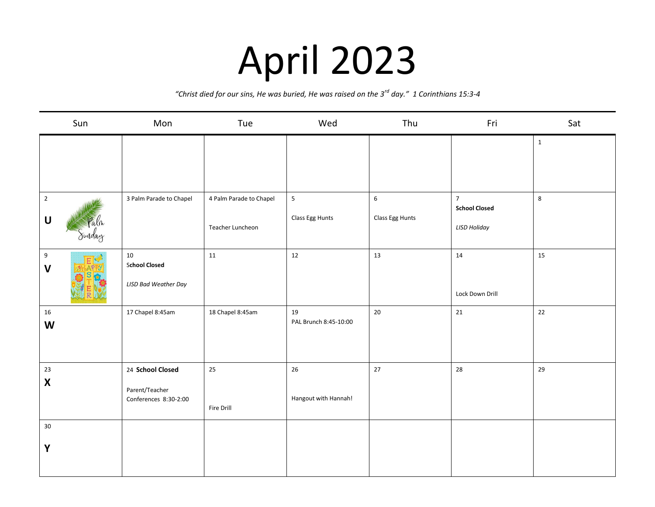## April 2023

*"Christ died for our sins, He was buried, He was raised on the 3rd day." 1 Corinthians 15:3-4*

| Sun                                               | Mon                                                         | Tue                                         | Wed                               | Thu                                 | Fri                                                           | Sat          |
|---------------------------------------------------|-------------------------------------------------------------|---------------------------------------------|-----------------------------------|-------------------------------------|---------------------------------------------------------------|--------------|
|                                                   |                                                             |                                             |                                   |                                     |                                                               | $\mathbf{1}$ |
| $\overline{2}$<br>$\mathbf{U}%$<br>Palm<br>Sunday | 3 Palm Parade to Chapel                                     | 4 Palm Parade to Chapel<br>Teacher Luncheon | $\overline{5}$<br>Class Egg Hunts | $\boldsymbol{6}$<br>Class Egg Hunts | $\overline{7}$<br><b>School Closed</b><br><b>LISD Holiday</b> | 8            |
| $\boldsymbol{9}$<br>$\mathbf v$                   | 10<br><b>School Closed</b><br><b>LISD Bad Weather Day</b>   | 11                                          | 12                                | 13                                  | 14<br>Lock Down Drill                                         | 15           |
| 16<br>W                                           | 17 Chapel 8:45am                                            | 18 Chapel 8:45am                            | 19<br>PAL Brunch 8:45-10:00       | 20                                  | 21                                                            | 22           |
| $23\,$<br>$\pmb{\mathsf{X}}$                      | 24 School Closed<br>Parent/Teacher<br>Conferences 8:30-2:00 | 25<br>Fire Drill                            | 26<br>Hangout with Hannah!        | 27                                  | 28                                                            | 29           |
| 30 <sup>°</sup><br>Y                              |                                                             |                                             |                                   |                                     |                                                               |              |